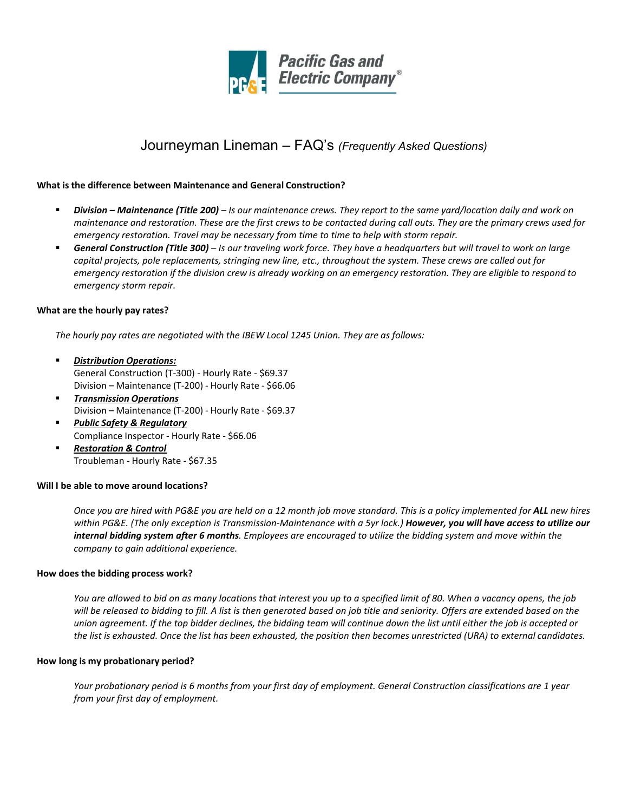

# Journeyman Lineman – FAQ's *(Frequently Asked Questions)*

## **What is the difference between Maintenance and General Construction?**

- *Division – Maintenance (Title 200) – Is our maintenance crews. They report to the same yard/location daily and work on* maintenance and restoration. These are the first crews to be contacted during call outs. They are the primary crews used for *emergency restoration. Travel may be necessary from time to time to help with storm repair.*
- *General Construction (Title 300) – Is our traveling work force. They have a headquarters but will travel to work on large capital projects, pole replacements, stringing new line, etc., throughout the system. These crews are called out for* emergency restoration if the division crew is already working on an emergency restoration. They are eligible to respond to *emergency storm repair.*

# **What are the hourly pay rates?**

*The hourly pay rates are negotiated with the IBEW Local 1245 Union. They are as follows:*

- *Distribution Operations:* General Construction (T-300) - Hourly Rate - \$69.37 Division – Maintenance (T-200) - Hourly Rate - \$66.06
- *Transmission Operations* Division – Maintenance (T-200) - Hourly Rate - \$69.37
- *Public Safety & Regulatory* Compliance Inspector - Hourly Rate - \$66.06
- *Restoration & Control* Troubleman - Hourly Rate - \$67.35

# **Will I be able to move around locations?**

*Once you are hired with PG&E you are held on a 12 month job move standard. This is a policy implemented for ALL new hires* within PG&E. (The only exception is Transmission-Maintenance with a 5yr lock.) **However, you will have access to utilize our** *internal bidding system after 6 months. Employees are encouraged to utilize the bidding system and move within the company to gain additional experience.*

### **How does the bidding process work?**

*You are allowed to bid on as many locations that interest you up to a specified limit of 80. When a vacancy opens, the job will be released to bidding to fill. A list is then generated based on job title and seniority. Offers are extended based on the union agreement. If the top bidder declines, the bidding team will continue down the list until either the job is accepted or* the list is exhausted. Once the list has been exhausted, the position then becomes unrestricted (URA) to external candidates.

### **How long is my probationary period?**

*Your probationary period is 6 months from your first day of employment. General Construction classifications are 1 year from your first day of employment.*